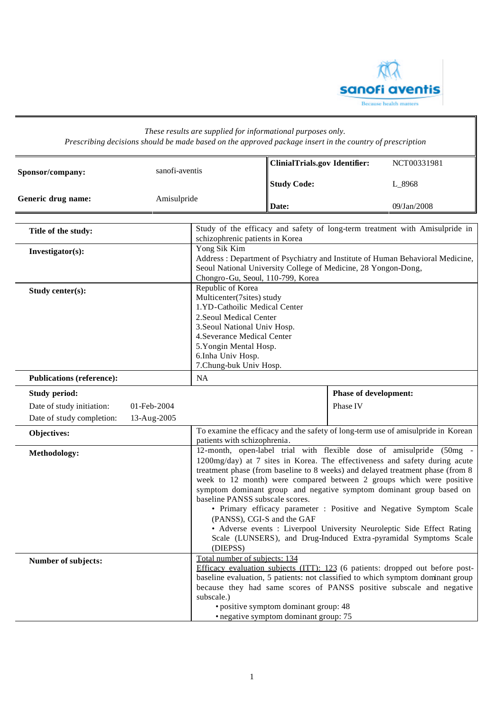

| These results are supplied for informational purposes only.<br>Prescribing decisions should be made based on the approved package insert in the country of prescription |                            |                                                                                                                                                                                                                                                     |                                                                                |                              |                                                                                                                                                                                                                                                                                                                                                                                                                                                                                                                                                                                                         |
|-------------------------------------------------------------------------------------------------------------------------------------------------------------------------|----------------------------|-----------------------------------------------------------------------------------------------------------------------------------------------------------------------------------------------------------------------------------------------------|--------------------------------------------------------------------------------|------------------------------|---------------------------------------------------------------------------------------------------------------------------------------------------------------------------------------------------------------------------------------------------------------------------------------------------------------------------------------------------------------------------------------------------------------------------------------------------------------------------------------------------------------------------------------------------------------------------------------------------------|
| Sponsor/company:                                                                                                                                                        | sanofi-aventis             |                                                                                                                                                                                                                                                     | <b>ClinialTrials.gov Identifier:</b>                                           |                              | NCT00331981                                                                                                                                                                                                                                                                                                                                                                                                                                                                                                                                                                                             |
|                                                                                                                                                                         |                            |                                                                                                                                                                                                                                                     |                                                                                |                              | L_8968                                                                                                                                                                                                                                                                                                                                                                                                                                                                                                                                                                                                  |
| Generic drug name:                                                                                                                                                      | Amisulpride                |                                                                                                                                                                                                                                                     | Date:                                                                          |                              | 09/Jan/2008                                                                                                                                                                                                                                                                                                                                                                                                                                                                                                                                                                                             |
| Title of the study:                                                                                                                                                     |                            | schizophrenic patients in Korea                                                                                                                                                                                                                     |                                                                                |                              | Study of the efficacy and safety of long-term treatment with Amisulpride in                                                                                                                                                                                                                                                                                                                                                                                                                                                                                                                             |
| Investigator(s):                                                                                                                                                        |                            | Yong Sik Kim<br>Address: Department of Psychiatry and Institute of Human Behavioral Medicine,<br>Seoul National University College of Medicine, 28 Yongon-Dong,<br>Chongro-Gu, Seoul, 110-799, Korea                                                |                                                                                |                              |                                                                                                                                                                                                                                                                                                                                                                                                                                                                                                                                                                                                         |
| Study center(s):                                                                                                                                                        |                            | Republic of Korea<br>Multicenter(7sites) study<br>1.YD-Cathoilic Medical Center<br>2. Seoul Medical Center<br>3. Seoul National Univ Hosp.<br>4. Severance Medical Center<br>5. Yongin Mental Hosp.<br>6.Inha Univ Hosp.<br>7. Chung-buk Univ Hosp. |                                                                                |                              |                                                                                                                                                                                                                                                                                                                                                                                                                                                                                                                                                                                                         |
| <b>Publications (reference):</b>                                                                                                                                        |                            | <b>NA</b>                                                                                                                                                                                                                                           |                                                                                |                              |                                                                                                                                                                                                                                                                                                                                                                                                                                                                                                                                                                                                         |
| <b>Study period:</b>                                                                                                                                                    |                            |                                                                                                                                                                                                                                                     |                                                                                | <b>Phase of development:</b> |                                                                                                                                                                                                                                                                                                                                                                                                                                                                                                                                                                                                         |
| Date of study initiation:<br>Date of study completion:                                                                                                                  | 01-Feb-2004<br>13-Aug-2005 |                                                                                                                                                                                                                                                     |                                                                                | Phase IV                     |                                                                                                                                                                                                                                                                                                                                                                                                                                                                                                                                                                                                         |
| Objectives:                                                                                                                                                             |                            | To examine the efficacy and the safety of long-term use of amisulpride in Korean<br>patients with schizophrenia.                                                                                                                                    |                                                                                |                              |                                                                                                                                                                                                                                                                                                                                                                                                                                                                                                                                                                                                         |
| Methodology:                                                                                                                                                            |                            | baseline PANSS subscale scores.<br>(DIEPSS)                                                                                                                                                                                                         | (PANSS), CGI-S and the GAF                                                     |                              | 12-month, open-label trial with flexible dose of amisulpride (50mg -<br>1200mg/day) at 7 sites in Korea. The effectiveness and safety during acute<br>treatment phase (from baseline to 8 weeks) and delayed treatment phase (from 8<br>week to 12 month) were compared between 2 groups which were positive<br>symptom dominant group and negative symptom dominant group based on<br>• Primary efficacy parameter : Positive and Negative Symptom Scale<br>• Adverse events : Liverpool University Neuroleptic Side Effect Rating<br>Scale (LUNSERS), and Drug-Induced Extra-pyramidal Symptoms Scale |
| <b>Number of subjects:</b>                                                                                                                                              |                            | Total number of subjects: 134<br>subscale.)                                                                                                                                                                                                         | · positive symptom dominant group: 48<br>• negative symptom dominant group: 75 |                              | Efficacy evaluation subjects (ITT): 123 (6 patients: dropped out before post-<br>baseline evaluation, 5 patients: not classified to which symptom dominant group<br>because they had same scores of PANSS positive subscale and negative                                                                                                                                                                                                                                                                                                                                                                |

*These results are supplied for informational purposes only.*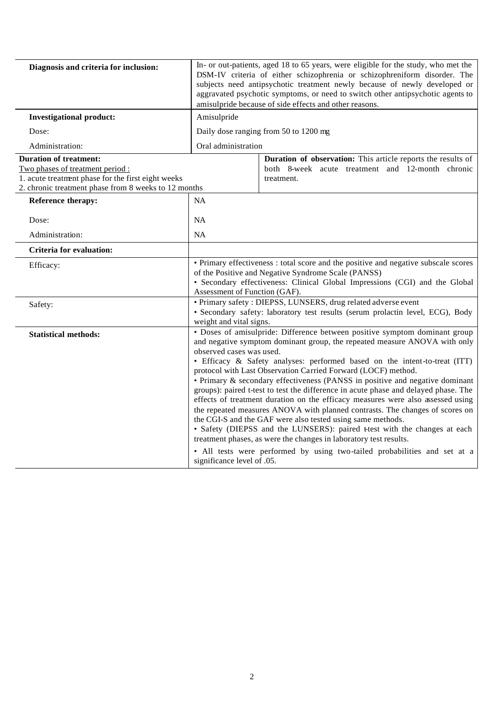| Diagnosis and criteria for inclusion:                                                                                                                                           | In- or out-patients, aged 18 to 65 years, were eligible for the study, who met the<br>DSM-IV criteria of either schizophrenia or schizophreniform disorder. The<br>subjects need antipsychotic treatment newly because of newly developed or<br>aggravated psychotic symptoms, or need to switch other antipsychotic agents to<br>amisulpride because of side effects and other reasons.                                                                                                                                                                                                                                                                                                                                                                                                                                                                                                                                                                                                               |                                                                                                                                |  |
|---------------------------------------------------------------------------------------------------------------------------------------------------------------------------------|--------------------------------------------------------------------------------------------------------------------------------------------------------------------------------------------------------------------------------------------------------------------------------------------------------------------------------------------------------------------------------------------------------------------------------------------------------------------------------------------------------------------------------------------------------------------------------------------------------------------------------------------------------------------------------------------------------------------------------------------------------------------------------------------------------------------------------------------------------------------------------------------------------------------------------------------------------------------------------------------------------|--------------------------------------------------------------------------------------------------------------------------------|--|
| <b>Investigational product:</b>                                                                                                                                                 | Amisulpride                                                                                                                                                                                                                                                                                                                                                                                                                                                                                                                                                                                                                                                                                                                                                                                                                                                                                                                                                                                            |                                                                                                                                |  |
| Dose:                                                                                                                                                                           | Daily dose ranging from 50 to 1200 mg                                                                                                                                                                                                                                                                                                                                                                                                                                                                                                                                                                                                                                                                                                                                                                                                                                                                                                                                                                  |                                                                                                                                |  |
| Administration:                                                                                                                                                                 | Oral administration                                                                                                                                                                                                                                                                                                                                                                                                                                                                                                                                                                                                                                                                                                                                                                                                                                                                                                                                                                                    |                                                                                                                                |  |
| <b>Duration of treatment:</b><br>Two phases of treatment period :<br>1. acute treatment phase for the first eight weeks<br>2. chronic treatment phase from 8 weeks to 12 months |                                                                                                                                                                                                                                                                                                                                                                                                                                                                                                                                                                                                                                                                                                                                                                                                                                                                                                                                                                                                        | Duration of observation: This article reports the results of<br>both 8-week acute treatment and 12-month chronic<br>treatment. |  |
| <b>Reference therapy:</b>                                                                                                                                                       | <b>NA</b>                                                                                                                                                                                                                                                                                                                                                                                                                                                                                                                                                                                                                                                                                                                                                                                                                                                                                                                                                                                              |                                                                                                                                |  |
| Dose:                                                                                                                                                                           | <b>NA</b>                                                                                                                                                                                                                                                                                                                                                                                                                                                                                                                                                                                                                                                                                                                                                                                                                                                                                                                                                                                              |                                                                                                                                |  |
| Administration:                                                                                                                                                                 | <b>NA</b>                                                                                                                                                                                                                                                                                                                                                                                                                                                                                                                                                                                                                                                                                                                                                                                                                                                                                                                                                                                              |                                                                                                                                |  |
| Criteria for evaluation:                                                                                                                                                        |                                                                                                                                                                                                                                                                                                                                                                                                                                                                                                                                                                                                                                                                                                                                                                                                                                                                                                                                                                                                        |                                                                                                                                |  |
| Efficacy:                                                                                                                                                                       | • Primary effectiveness : total score and the positive and negative subscale scores<br>of the Positive and Negative Syndrome Scale (PANSS)<br>· Secondary effectiveness: Clinical Global Impressions (CGI) and the Global<br>Assessment of Function (GAF).                                                                                                                                                                                                                                                                                                                                                                                                                                                                                                                                                                                                                                                                                                                                             |                                                                                                                                |  |
| Safety:                                                                                                                                                                         | · Primary safety: DIEPSS, LUNSERS, drug related adverse event<br>· Secondary safety: laboratory test results (serum prolactin level, ECG), Body<br>weight and vital signs.                                                                                                                                                                                                                                                                                                                                                                                                                                                                                                                                                                                                                                                                                                                                                                                                                             |                                                                                                                                |  |
| <b>Statistical methods:</b>                                                                                                                                                     | • Doses of amisulpride: Difference between positive symptom dominant group<br>and negative symptom dominant group, the repeated measure ANOVA with only<br>observed cases was used.<br>· Efficacy & Safety analyses: performed based on the intent-to-treat (ITT)<br>protocol with Last Observation Carried Forward (LOCF) method.<br>• Primary & secondary effectiveness (PANSS in positive and negative dominant<br>groups): paired t-test to test the difference in acute phase and delayed phase. The<br>effects of treatment duration on the efficacy measures were also assessed using<br>the repeated measures ANOVA with planned contrasts. The changes of scores on<br>the CGI-S and the GAF were also tested using same methods.<br>· Safety (DIEPSS and the LUNSERS): paired ttest with the changes at each<br>treatment phases, as were the changes in laboratory test results.<br>• All tests were performed by using two-tailed probabilities and set at a<br>significance level of .05. |                                                                                                                                |  |